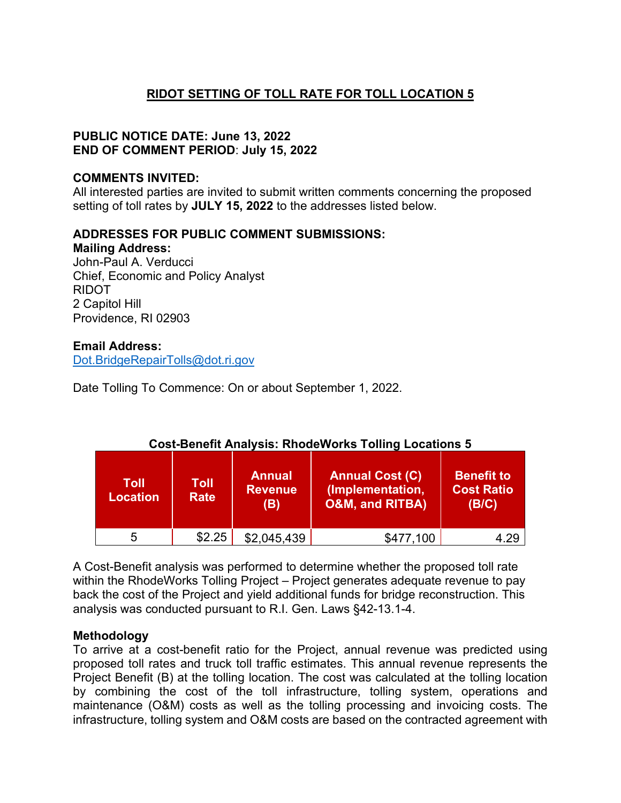# **RIDOT SETTING OF TOLL RATE FOR TOLL LOCATION 5**

### **PUBLIC NOTICE DATE: June 13, 2022 END OF COMMENT PERIOD**: **July 15, 2022**

#### **COMMENTS INVITED:**

All interested parties are invited to submit written comments concerning the proposed setting of toll rates by **JULY 15, 2022** to the addresses listed below.

#### **ADDRESSES FOR PUBLIC COMMENT SUBMISSIONS:**

**Mailing Address:**  John-Paul A. Verducci Chief, Economic and Policy Analyst RIDOT 2 Capitol Hill Providence, RI 02903

#### **Email Address:**

[Dot.BridgeRepairTolls@dot.ri.gov](mailto:Dot.BridgeRepairTolls@dot.ri.gov)

Date Tolling To Commence: On or about September 1, 2022.

| Toll<br><b>Location</b> | Toll<br><b>Rate</b> | Annual<br><b>Revenue</b><br>(B) | <b>Annual Cost (C)</b><br>(Implementation,<br><b>O&amp;M, and RITBA)</b> | <b>Benefit to</b><br><b>Cost Ratio</b><br>(B/C) |
|-------------------------|---------------------|---------------------------------|--------------------------------------------------------------------------|-------------------------------------------------|
| 5                       | \$2.25              | \$2,045,439                     | \$477,100                                                                | 4 29                                            |

## **Cost-Benefit Analysis: RhodeWorks Tolling Locations 5**

A Cost-Benefit analysis was performed to determine whether the proposed toll rate within the RhodeWorks Tolling Project – Project generates adequate revenue to pay back the cost of the Project and yield additional funds for bridge reconstruction. This analysis was conducted pursuant to R.I. Gen. Laws §42-13.1-4.

## **Methodology**

To arrive at a cost-benefit ratio for the Project, annual revenue was predicted using proposed toll rates and truck toll traffic estimates. This annual revenue represents the Project Benefit (B) at the tolling location. The cost was calculated at the tolling location by combining the cost of the toll infrastructure, tolling system, operations and maintenance (O&M) costs as well as the tolling processing and invoicing costs. The infrastructure, tolling system and O&M costs are based on the contracted agreement with